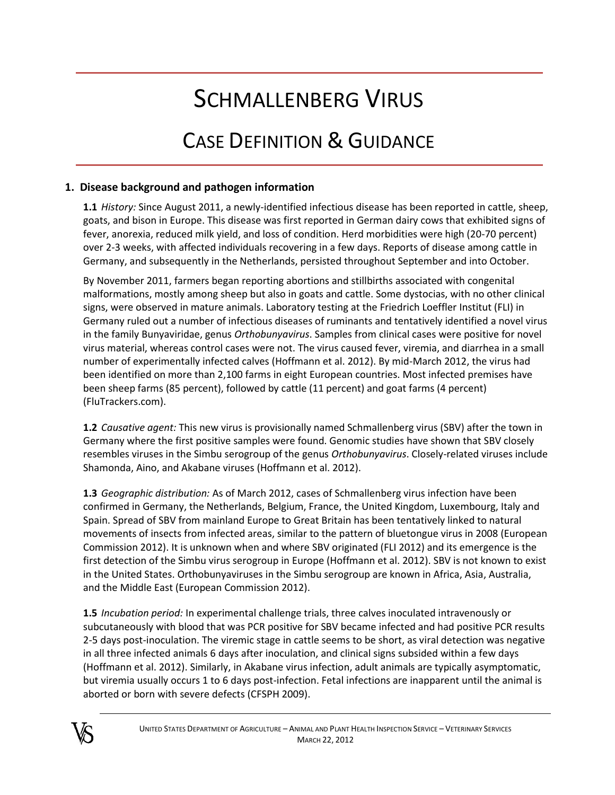# SCHMALLENBERG VIRUS

# CASE DEFINITION & GUIDANCE

# **1. Disease background and pathogen information**

**1.1** *History:* Since August 2011, a newly-identified infectious disease has been reported in cattle, sheep, goats, and bison in Europe. This disease was first reported in German dairy cows that exhibited signs of fever, anorexia, reduced milk yield, and loss of condition. Herd morbidities were high (20-70 percent) over 2-3 weeks, with affected individuals recovering in a few days. Reports of disease among cattle in Germany, and subsequently in the Netherlands, persisted throughout September and into October.

By November 2011, farmers began reporting abortions and stillbirths associated with congenital malformations, mostly among sheep but also in goats and cattle. Some dystocias, with no other clinical signs, were observed in mature animals. Laboratory testing at the Friedrich Loeffler Institut (FLI) in Germany ruled out a number of infectious diseases of ruminants and tentatively identified a novel virus in the family Bunyaviridae, genus *Orthobunyavirus*. Samples from clinical cases were positive for novel virus material, whereas control cases were not. The virus caused fever, viremia, and diarrhea in a small number of experimentally infected calves (Hoffmann et al. 2012). By mid-March 2012, the virus had been identified on more than 2,100 farms in eight European countries. Most infected premises have been sheep farms (85 percent), followed by cattle (11 percent) and goat farms (4 percent) (FluTrackers.com).

**1.2** *Causative agent:* This new virus is provisionally named Schmallenberg virus (SBV) after the town in Germany where the first positive samples were found. Genomic studies have shown that SBV closely resembles viruses in the Simbu serogroup of the genus *Orthobunyavirus*. Closely-related viruses include Shamonda, Aino, and Akabane viruses (Hoffmann et al. 2012).

**1.3** *Geographic distribution:* As of March 2012, cases of Schmallenberg virus infection have been confirmed in Germany, the Netherlands, Belgium, France, the United Kingdom, Luxembourg, Italy and Spain. Spread of SBV from mainland Europe to Great Britain has been tentatively linked to natural movements of insects from infected areas, similar to the pattern of bluetongue virus in 2008 (European Commission 2012). It is unknown when and where SBV originated (FLI 2012) and its emergence is the first detection of the Simbu virus serogroup in Europe (Hoffmann et al. 2012). SBV is not known to exist in the United States. Orthobunyaviruses in the Simbu serogroup are known in Africa, Asia, Australia, and the Middle East (European Commission 2012).

**1.5** *Incubation period:* In experimental challenge trials, three calves inoculated intravenously or subcutaneously with blood that was PCR positive for SBV became infected and had positive PCR results 2-5 days post-inoculation. The viremic stage in cattle seems to be short, as viral detection was negative in all three infected animals 6 days after inoculation, and clinical signs subsided within a few days (Hoffmann et al. 2012). Similarly, in Akabane virus infection, adult animals are typically asymptomatic, but viremia usually occurs 1 to 6 days post-infection. Fetal infections are inapparent until the animal is aborted or born with severe defects (CFSPH 2009).

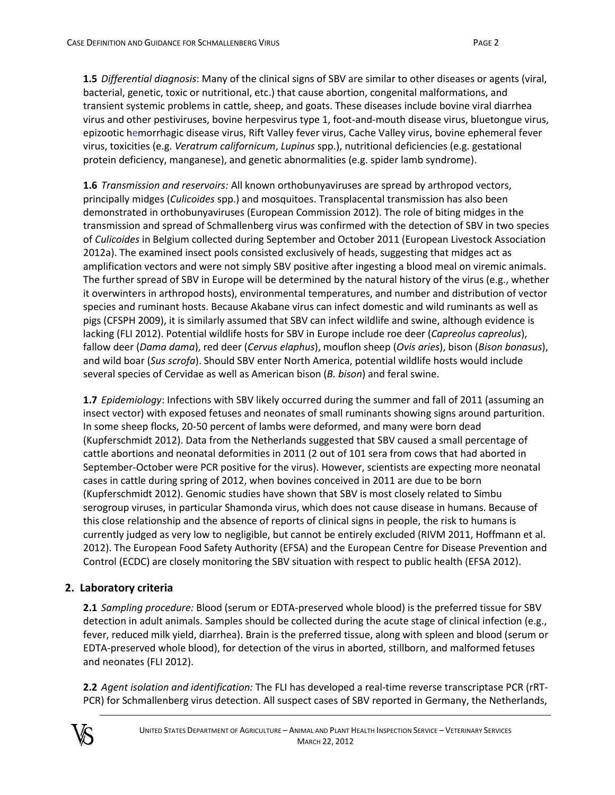**1.5** *Differential diagnosis*: Many of the clinical signs of SBV are similar to other diseases or agents (viral, bacterial, genetic, toxic or nutritional, etc.) that cause abortion, congenital malformations, and transient systemic problems in cattle, sheep, and goats. These diseases include bovine viral diarrhea virus and other pestiviruses, bovine herpesvirus type 1, foot-and-mouth disease virus, bluetongue virus, epizootic hemorrhagic disease virus, Rift Valley fever virus, Cache Valley virus, bovine ephemeral fever virus, toxicities (e.g. *Veratrum californicum*, *Lupinus* spp.), nutritional deficiencies (e.g. gestational protein deficiency, manganese), and genetic abnormalities (e.g. spider lamb syndrome).

**1.6** *Transmission and reservoirs:* All known orthobunyaviruses are spread by arthropod vectors, principally midges (*Culicoides* spp.) and mosquitoes. Transplacental transmission has also been demonstrated in orthobunyaviruses (European Commission 2012). The role of biting midges in the transmission and spread of Schmallenberg virus was confirmed with the detection of SBV in two species of *Culicoides* in Belgium collected during September and October 2011 (European Livestock Association 2012a). The examined insect pools consisted exclusively of heads, suggesting that midges act as amplification vectors and were not simply SBV positive after ingesting a blood meal on viremic animals. The further spread of SBV in Europe will be determined by the natural history of the virus (e.g., whether it overwinters in arthropod hosts), environmental temperatures, and number and distribution of vector species and ruminant hosts. Because Akabane virus can infect domestic and wild ruminants as well as pigs (CFSPH 2009), it is similarly assumed that SBV can infect wildlife and swine, although evidence is lacking (FLI 2012). Potential wildlife hosts for SBV in Europe include roe deer (*Capreolus capreolus*), fallow deer (*Dama dama*), red deer (*Cervus elaphus*), mouflon sheep (*Ovis aries*), bison (*Bison bonasus*), and wild boar (*Sus scrofa*). Should SBV enter North America, potential wildlife hosts would include several species of Cervidae as well as American bison (*B. bison*) and feral swine.

**1.7** *Epidemiology*: Infections with SBV likely occurred during the summer and fall of 2011 (assuming an insect vector) with exposed fetuses and neonates of small ruminants showing signs around parturition. In some sheep flocks, 20-50 percent of lambs were deformed, and many were born dead (Kupferschmidt 2012). Data from the Netherlands suggested that SBV caused a small percentage of cattle abortions and neonatal deformities in 2011 (2 out of 101 sera from cows that had aborted in September-October were PCR positive for the virus). However, scientists are expecting more neonatal cases in cattle during spring of 2012, when bovines conceived in 2011 are due to be born (Kupferschmidt 2012). Genomic studies have shown that SBV is most closely related to Simbu serogroup viruses, in particular Shamonda virus, which does not cause disease in humans. Because of this close relationship and the absence of reports of clinical signs in people, the risk to humans is currently judged as very low to negligible, but cannot be entirely excluded (RIVM 2011, Hoffmann et al. 2012). The European Food Safety Authority (EFSA) and the European Centre for Disease Prevention and Control (ECDC) are closely monitoring the SBV situation with respect to public health (EFSA 2012).

#### **2. Laboratory criteria**

**2.1** *Sampling procedure:* Blood (serum or EDTA-preserved whole blood) is the preferred tissue for SBV detection in adult animals. Samples should be collected during the acute stage of clinical infection (e.g., fever, reduced milk yield, diarrhea). Brain is the preferred tissue, along with spleen and blood (serum or EDTA-preserved whole blood), for detection of the virus in aborted, stillborn, and malformed fetuses and neonates (FLI 2012).

**2.2** *Agent isolation and identification:* The FLI has developed a real-time reverse transcriptase PCR (rRT-PCR) for Schmallenberg virus detection. All suspect cases of SBV reported in Germany, the Netherlands,

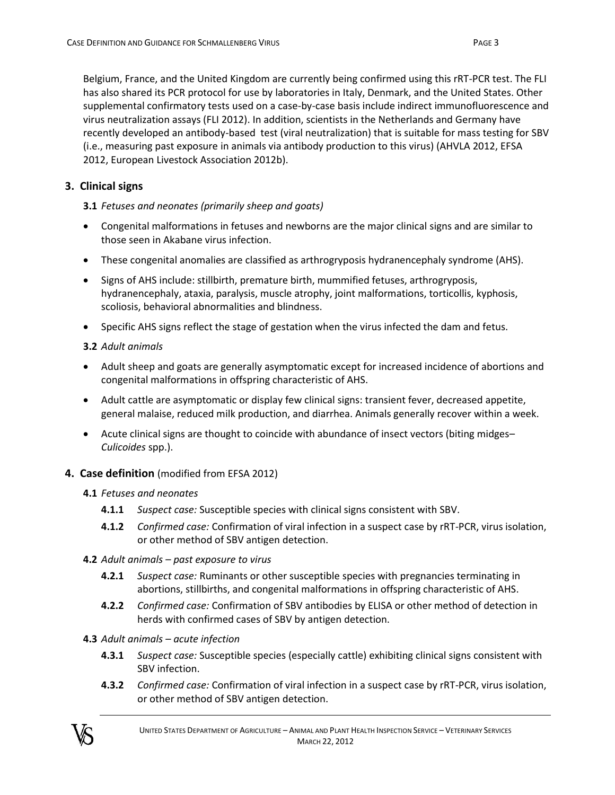Belgium, France, and the United Kingdom are currently being confirmed using this rRT-PCR test. The FLI has also shared its PCR protocol for use by laboratories in Italy, Denmark, and the United States. Other supplemental confirmatory tests used on a case-by-case basis include indirect immunofluorescence and virus neutralization assays (FLI 2012). In addition, scientists in the Netherlands and Germany have recently developed an antibody-based test (viral neutralization) that is suitable for mass testing for SBV (i.e., measuring past exposure in animals via antibody production to this virus) (AHVLA 2012, EFSA 2012, European Livestock Association 2012b).

# **3. Clinical signs**

#### **3.1** *Fetuses and neonates (primarily sheep and goats)*

- Congenital malformations in fetuses and newborns are the major clinical signs and are similar to those seen in Akabane virus infection.
- These congenital anomalies are classified as arthrogryposis hydranencephaly syndrome (AHS).
- Signs of AHS include: stillbirth, premature birth, mummified fetuses, arthrogryposis, hydranencephaly, ataxia, paralysis, muscle atrophy, joint malformations, torticollis, kyphosis, scoliosis, behavioral abnormalities and blindness.
- Specific AHS signs reflect the stage of gestation when the virus infected the dam and fetus.

# **3.2** *Adult animals*

- Adult sheep and goats are generally asymptomatic except for increased incidence of abortions and congenital malformations in offspring characteristic of AHS.
- Adult cattle are asymptomatic or display few clinical signs: transient fever, decreased appetite, general malaise, reduced milk production, and diarrhea. Animals generally recover within a week.
- Acute clinical signs are thought to coincide with abundance of insect vectors (biting midges– *Culicoides* spp.).

# **4. Case definition** (modified from EFSA 2012)

#### **4.1** *Fetuses and neonates*

- **4.1.1** *Suspect case:* Susceptible species with clinical signs consistent with SBV.
- **4.1.2** *Confirmed case:* Confirmation of viral infection in a suspect case by rRT-PCR, virus isolation, or other method of SBV antigen detection.
- **4.2** *Adult animals – past exposure to virus*
	- **4.2.1** *Suspect case:* Ruminants or other susceptible species with pregnancies terminating in abortions, stillbirths, and congenital malformations in offspring characteristic of AHS.
	- **4.2.2** *Confirmed case:* Confirmation of SBV antibodies by ELISA or other method of detection in herds with confirmed cases of SBV by antigen detection.
- **4.3** *Adult animals – acute infection*
	- **4.3.1** *Suspect case:* Susceptible species (especially cattle) exhibiting clinical signs consistent with SBV infection.
	- **4.3.2** *Confirmed case:* Confirmation of viral infection in a suspect case by rRT-PCR, virus isolation, or other method of SBV antigen detection.

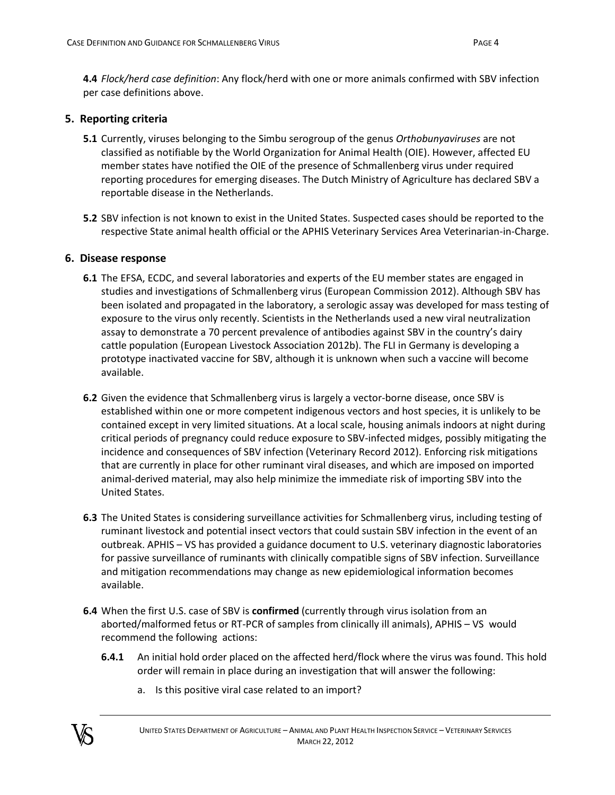**4.4** *Flock/herd case definition*: Any flock/herd with one or more animals confirmed with SBV infection per case definitions above.

# **5. Reporting criteria**

- **5.1** Currently, viruses belonging to the Simbu serogroup of the genus *Orthobunyaviruses* are not classified as notifiable by the World Organization for Animal Health (OIE). However, affected EU member states have notified the OIE of the presence of Schmallenberg virus under required reporting procedures for emerging diseases. The Dutch Ministry of Agriculture has declared SBV a reportable disease in the Netherlands.
- **5.2** SBV infection is not known to exist in the United States. Suspected cases should be reported to the respective State animal health official or the APHIS Veterinary Services Area Veterinarian-in-Charge.

#### **6. Disease response**

- **6.1** The EFSA, ECDC, and several laboratories and experts of the EU member states are engaged in studies and investigations of Schmallenberg virus (European Commission 2012). Although SBV has been isolated and propagated in the laboratory, a serologic assay was developed for mass testing of exposure to the virus only recently. Scientists in the Netherlands used a new viral neutralization assay to demonstrate a 70 percent prevalence of antibodies against SBV in the country's dairy cattle population (European Livestock Association 2012b). The FLI in Germany is developing a prototype inactivated vaccine for SBV, although it is unknown when such a vaccine will become available.
- **6.2** Given the evidence that Schmallenberg virus is largely a vector-borne disease, once SBV is established within one or more competent indigenous vectors and host species, it is unlikely to be contained except in very limited situations. At a local scale, housing animals indoors at night during critical periods of pregnancy could reduce exposure to SBV-infected midges, possibly mitigating the incidence and consequences of SBV infection (Veterinary Record 2012). Enforcing risk mitigations that are currently in place for other ruminant viral diseases, and which are imposed on imported animal-derived material, may also help minimize the immediate risk of importing SBV into the United States.
- **6.3** The United States is considering surveillance activities for Schmallenberg virus, including testing of ruminant livestock and potential insect vectors that could sustain SBV infection in the event of an outbreak. APHIS – VS has provided a guidance document to U.S. veterinary diagnostic laboratories for passive surveillance of ruminants with clinically compatible signs of SBV infection. Surveillance and mitigation recommendations may change as new epidemiological information becomes available.
- **6.4** When the first U.S. case of SBV is **confirmed** (currently through virus isolation from an aborted/malformed fetus or RT-PCR of samples from clinically ill animals), APHIS – VS would recommend the following actions:
	- **6.4.1** An initial hold order placed on the affected herd/flock where the virus was found. This hold order will remain in place during an investigation that will answer the following:
		- a. Is this positive viral case related to an import?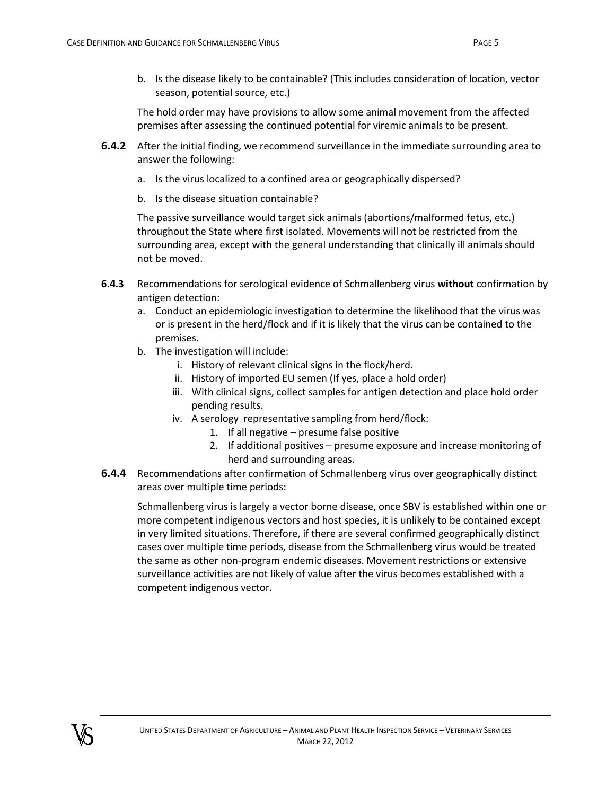b. Is the disease likely to be containable? (This includes consideration of location, vector season, potential source, etc.)

The hold order may have provisions to allow some animal movement from the affected premises after assessing the continued potential for viremic animals to be present.

- **6.4.2** After the initial finding, we recommend surveillance in the immediate surrounding area to answer the following:
	- a. Is the virus localized to a confined area or geographically dispersed?
	- b. Is the disease situation containable?

The passive surveillance would target sick animals (abortions/malformed fetus, etc.) throughout the State where first isolated. Movements will not be restricted from the surrounding area, except with the general understanding that clinically ill animals should not be moved.

- **6.4.3** Recommendations for serological evidence of Schmallenberg virus **without** confirmation by antigen detection:
	- a. Conduct an epidemiologic investigation to determine the likelihood that the virus was or is present in the herd/flock and if it is likely that the virus can be contained to the premises.
	- b. The investigation will include:
		- i. History of relevant clinical signs in the flock/herd.
		- ii. History of imported EU semen (If yes, place a hold order)
		- iii. With clinical signs, collect samples for antigen detection and place hold order pending results.
		- iv. A serology representative sampling from herd/flock:
			- 1. If all negative presume false positive
			- 2. If additional positives presume exposure and increase monitoring of herd and surrounding areas.
- **6.4.4** Recommendations after confirmation of Schmallenberg virus over geographically distinct areas over multiple time periods:

Schmallenberg virus is largely a vector borne disease, once SBV is established within one or more competent indigenous vectors and host species, it is unlikely to be contained except in very limited situations. Therefore, if there are several confirmed geographically distinct cases over multiple time periods, disease from the Schmallenberg virus would be treated the same as other non-program endemic diseases. Movement restrictions or extensive surveillance activities are not likely of value after the virus becomes established with a competent indigenous vector.

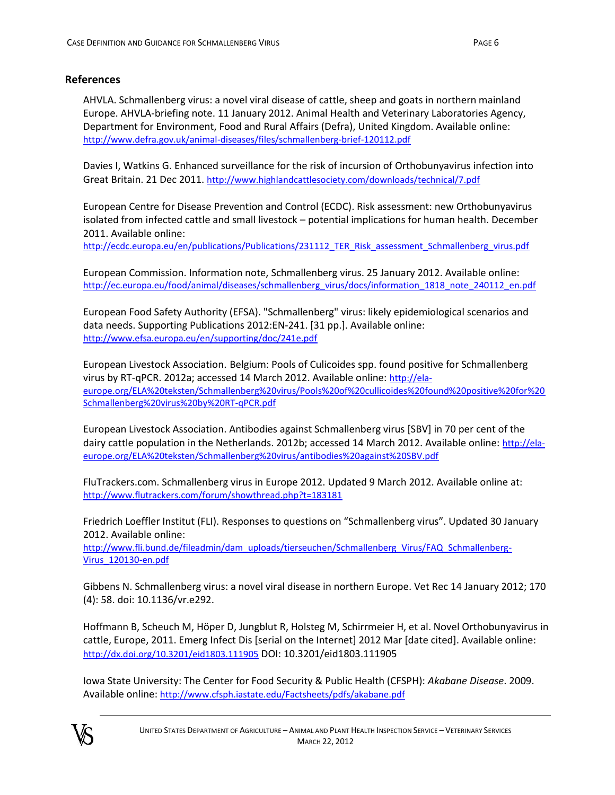#### **References**

AHVLA. Schmallenberg virus: a novel viral disease of cattle, sheep and goats in northern mainland Europe. AHVLA-briefing note. 11 January 2012. Animal Health and Veterinary Laboratories Agency, Department for Environment, Food and Rural Affairs (Defra), United Kingdom. Available online: <http://www.defra.gov.uk/animal-diseases/files/schmallenberg-brief-120112.pdf>

Davies I, Watkins G. Enhanced surveillance for the risk of incursion of Orthobunyavirus infection into Great Britain. 21 Dec 2011. <http://www.highlandcattlesociety.com/downloads/technical/7.pdf>

European Centre for Disease Prevention and Control (ECDC). Risk assessment: new Orthobunyavirus isolated from infected cattle and small livestock – potential implications for human health. December 2011. Available online:

[http://ecdc.europa.eu/en/publications/Publications/231112\\_TER\\_Risk\\_assessment\\_Schmallenberg\\_virus.pdf](http://ecdc.europa.eu/en/publications/Publications/231112_TER_Risk_assessment_Schmallenberg_virus.pdf)

European Commission. Information note, Schmallenberg virus. 25 January 2012. Available online: [http://ec.europa.eu/food/animal/diseases/schmallenberg\\_virus/docs/information\\_1818\\_note\\_240112\\_en.pdf](http://ec.europa.eu/food/animal/diseases/schmallenberg_virus/docs/information_1818_note_240112_en.pdf)

European Food Safety Authority (EFSA). "Schmallenberg" virus: likely epidemiological scenarios and data needs. Supporting Publications 2012:EN-241. [31 pp.]. Available online: <http://www.efsa.europa.eu/en/supporting/doc/241e.pdf>

European Livestock Association. Belgium: Pools of Culicoides spp. found positive for Schmallenberg virus by RT-qPCR. 2012a; accessed 14 March 2012. Available online: [http://ela](http://ela-europe.org/ELA%20teksten/Schmallenberg%20virus/Pools%20of%20cullicoides%20found%20positive%20for%20Schmallenberg%20virus%20by%20RT-qPCR.pdf)[europe.org/ELA%20teksten/Schmallenberg%20virus/Pools%20of%20cullicoides%20found%20positive%20for%20](http://ela-europe.org/ELA%20teksten/Schmallenberg%20virus/Pools%20of%20cullicoides%20found%20positive%20for%20Schmallenberg%20virus%20by%20RT-qPCR.pdf) [Schmallenberg%20virus%20by%20RT-qPCR.pdf](http://ela-europe.org/ELA%20teksten/Schmallenberg%20virus/Pools%20of%20cullicoides%20found%20positive%20for%20Schmallenberg%20virus%20by%20RT-qPCR.pdf)

European Livestock Association. Antibodies against Schmallenberg virus [SBV] in 70 per cent of the dairy cattle population in the Netherlands. 2012b; accessed 14 March 2012. Available online: [http://ela](http://ela-europe.org/ELA%20teksten/Schmallenberg%20virus/antibodies%20against%20SBV.pdf)[europe.org/ELA%20teksten/Schmallenberg%20virus/antibodies%20against%20SBV.pdf](http://ela-europe.org/ELA%20teksten/Schmallenberg%20virus/antibodies%20against%20SBV.pdf)

FluTrackers.com. Schmallenberg virus in Europe 2012. Updated 9 March 2012. Available online at: <http://www.flutrackers.com/forum/showthread.php?t=183181>

Friedrich Loeffler Institut (FLI). Responses to questions on "Schmallenberg virus". Updated 30 January 2012. Available online:

[http://www.fli.bund.de/fileadmin/dam\\_uploads/tierseuchen/Schmallenberg\\_Virus/FAQ\\_Schmallenberg-](http://www.fli.bund.de/fileadmin/dam_uploads/tierseuchen/Schmallenberg_Virus/FAQ_Schmallenberg-Virus_120130-en.pdf)[Virus\\_120130-en.pdf](http://www.fli.bund.de/fileadmin/dam_uploads/tierseuchen/Schmallenberg_Virus/FAQ_Schmallenberg-Virus_120130-en.pdf)

Gibbens N. Schmallenberg virus: a novel viral disease in northern Europe. Vet Rec 14 January 2012; 170 (4): 58. doi: 10.1136/vr.e292.

Hoffmann B, Scheuch M, Höper D, Jungblut R, Holsteg M, Schirrmeier H, et al. Novel Orthobunyavirus in cattle, Europe, 2011. Emerg Infect Dis [serial on the Internet] 2012 Mar [date cited]. Available online: <http://dx.doi.org/10.3201/eid1803.111905> DOI: 10.3201/eid1803.111905

Iowa State University: The Center for Food Security & Public Health (CFSPH): *Akabane Disease*. 2009. Available online: <http://www.cfsph.iastate.edu/Factsheets/pdfs/akabane.pdf>